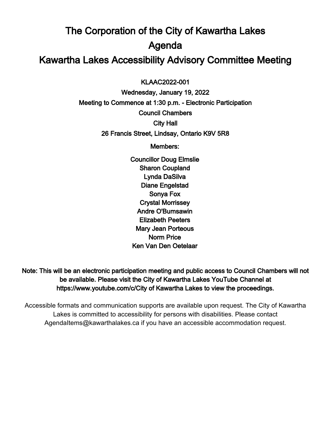# The Corporation of the City of Kawartha Lakes Agenda Kawartha Lakes Accessibility Advisory Committee Meeting

 $\overline{a}$ KLAAC2022-001

Wednesday, January 19, 2022 Meeting to Commence at 1:30 p.m. - Electronic Participation Council Chambers City Hall 26 Francis Street, Lindsay, Ontario K9V 5R8

Members:

Councillor Doug Elmslie Sharon Coupland Lynda DaSilva Diane Engelstad Sonya Fox Crystal Morrissey Andre O'Bumsawin Elizabeth Peeters Mary Jean Porteous Norm Price Ken Van Den Oetelaar

Note: This will be an electronic participation meeting and public access to Council Chambers will not be available. Please visit the City of Kawartha Lakes YouTube Channel at https://www.youtube.com/c/City of Kawartha Lakes to view the proceedings.

Accessible formats and communication supports are available upon request. The City of Kawartha Lakes is committed to accessibility for persons with disabilities. Please contact AgendaItems@kawarthalakes.ca if you have an accessible accommodation request.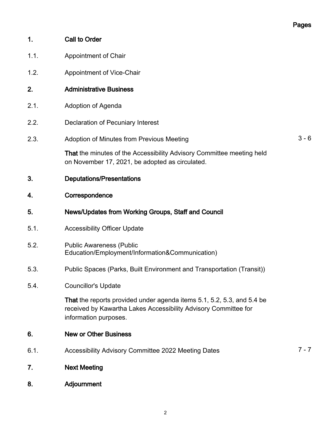## Pages

| 1.   | <b>Call to Order</b>                                                                                                                                               |         |
|------|--------------------------------------------------------------------------------------------------------------------------------------------------------------------|---------|
| 1.1. | <b>Appointment of Chair</b>                                                                                                                                        |         |
| 1.2. | Appointment of Vice-Chair                                                                                                                                          |         |
| 2.   | <b>Administrative Business</b>                                                                                                                                     |         |
| 2.1. | Adoption of Agenda                                                                                                                                                 |         |
| 2.2. | <b>Declaration of Pecuniary Interest</b>                                                                                                                           |         |
| 2.3. | Adoption of Minutes from Previous Meeting                                                                                                                          | $3 - 6$ |
|      | That the minutes of the Accessibility Advisory Committee meeting held<br>on November 17, 2021, be adopted as circulated.                                           |         |
| 3.   | <b>Deputations/Presentations</b>                                                                                                                                   |         |
| 4.   | Correspondence                                                                                                                                                     |         |
| 5.   | News/Updates from Working Groups, Staff and Council                                                                                                                |         |
| 5.1. | <b>Accessibility Officer Update</b>                                                                                                                                |         |
| 5.2. | <b>Public Awareness (Public</b><br>Education/Employment/Information&Communication)                                                                                 |         |
| 5.3. | Public Spaces (Parks, Built Environment and Transportation (Transit))                                                                                              |         |
| 5.4. | <b>Councillor's Update</b>                                                                                                                                         |         |
|      | That the reports provided under agenda items 5.1, 5.2, 5.3, and 5.4 be<br>received by Kawartha Lakes Accessibility Advisory Committee for<br>information purposes. |         |
| 6.   | <b>New or Other Business</b>                                                                                                                                       |         |
| 6.1. | Accessibility Advisory Committee 2022 Meeting Dates                                                                                                                | $7 - 7$ |
| 7.   | <b>Next Meeting</b>                                                                                                                                                |         |
| 8.   | Adjournment                                                                                                                                                        |         |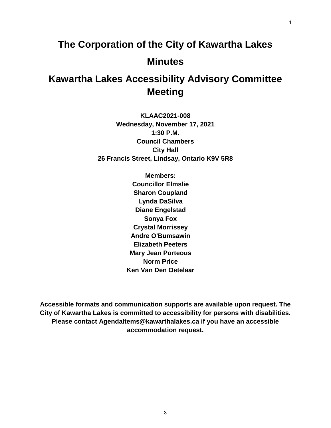# **The Corporation of the City of Kawartha Lakes Minutes**

## **Kawartha Lakes Accessibility Advisory Committee Meeting**

**KLAAC2021-008 Wednesday, November 17, 2021 1:30 P.M. Council Chambers City Hall 26 Francis Street, Lindsay, Ontario K9V 5R8**

> **Members: Councillor Elmslie Sharon Coupland Lynda DaSilva Diane Engelstad Sonya Fox Crystal Morrissey Andre O'Bumsawin Elizabeth Peeters Mary Jean Porteous Norm Price Ken Van Den Oetelaar**

**Accessible formats and communication supports are available upon request. The City of Kawartha Lakes is committed to accessibility for persons with disabilities. Please contact AgendaItems@kawarthalakes.ca if you have an accessible accommodation request.**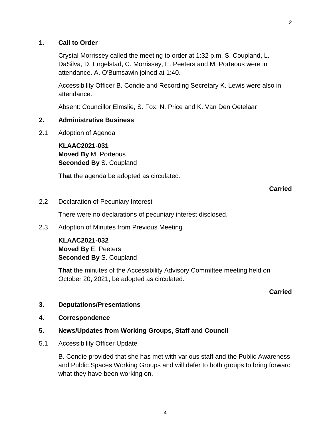#### **1. Call to Order**

Crystal Morrissey called the meeting to order at 1:32 p.m. S. Coupland, L. DaSilva, D. Engelstad, C. Morrissey, E. Peeters and M. Porteous were in attendance. A. O'Bumsawin joined at 1:40.

Accessibility Officer B. Condie and Recording Secretary K. Lewis were also in attendance.

Absent: Councillor Elmslie, S. Fox, N. Price and K. Van Den Oetelaar

#### **2. Administrative Business**

2.1 Adoption of Agenda

**KLAAC2021-031 Moved By** M. Porteous **Seconded By** S. Coupland

**That** the agenda be adopted as circulated.

#### **Carried**

2.2 Declaration of Pecuniary Interest

There were no declarations of pecuniary interest disclosed.

2.3 Adoption of Minutes from Previous Meeting

**KLAAC2021-032 Moved By** E. Peeters **Seconded By** S. Coupland

**That** the minutes of the Accessibility Advisory Committee meeting held on October 20, 2021, be adopted as circulated.

#### **Carried**

#### **3. Deputations/Presentations**

**4. Correspondence**

#### **5. News/Updates from Working Groups, Staff and Council**

5.1 Accessibility Officer Update

B. Condie provided that she has met with various staff and the Public Awareness and Public Spaces Working Groups and will defer to both groups to bring forward what they have been working on.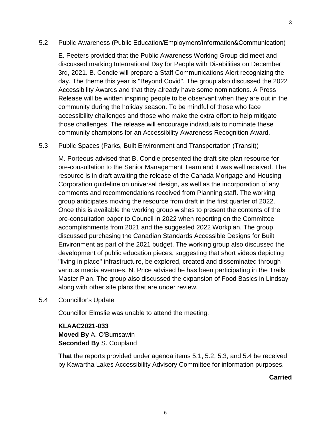#### 5.2 Public Awareness (Public Education/Employment/Information&Communication)

E. Peeters provided that the Public Awareness Working Group did meet and discussed marking International Day for People with Disabilities on December 3rd, 2021. B. Condie will prepare a Staff Communications Alert recognizing the day. The theme this year is "Beyond Covid". The group also discussed the 2022 Accessibility Awards and that they already have some nominations. A Press Release will be written inspiring people to be observant when they are out in the community during the holiday season. To be mindful of those who face accessibility challenges and those who make the extra effort to help mitigate those challenges. The release will encourage individuals to nominate these community champions for an Accessibility Awareness Recognition Award.

#### 5.3 Public Spaces (Parks, Built Environment and Transportation (Transit))

M. Porteous advised that B. Condie presented the draft site plan resource for pre-consultation to the Senior Management Team and it was well received. The resource is in draft awaiting the release of the Canada Mortgage and Housing Corporation guideline on universal design, as well as the incorporation of any comments and recommendations received from Planning staff. The working group anticipates moving the resource from draft in the first quarter of 2022. Once this is available the working group wishes to present the contents of the pre-consultation paper to Council in 2022 when reporting on the Committee accomplishments from 2021 and the suggested 2022 Workplan. The group discussed purchasing the Canadian Standards Accessible Designs for Built Environment as part of the 2021 budget. The working group also discussed the development of public education pieces, suggesting that short videos depicting "living in place" infrastructure, be explored, created and disseminated through various media avenues. N. Price advised he has been participating in the Trails Master Plan. The group also discussed the expansion of Food Basics in Lindsay along with other site plans that are under review.

5.4 Councillor's Update

Councillor Elmslie was unable to attend the meeting.

#### **KLAAC2021-033 Moved By** A. O'Bumsawin **Seconded By** S. Coupland

**That** the reports provided under agenda items 5.1, 5.2, 5.3, and 5.4 be received by Kawartha Lakes Accessibility Advisory Committee for information purposes.

#### **Carried**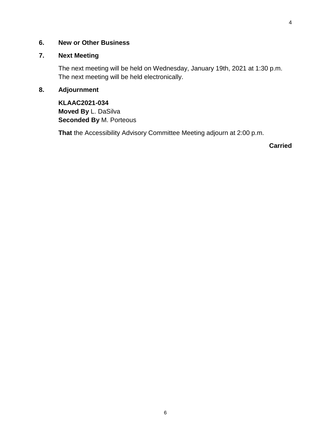#### **6. New or Other Business**

#### **7. Next Meeting**

The next meeting will be held on Wednesday, January 19th, 2021 at 1:30 p.m. The next meeting will be held electronically.

#### **8. Adjournment**

**KLAAC2021-034 Moved By** L. DaSilva **Seconded By** M. Porteous

**That** the Accessibility Advisory Committee Meeting adjourn at 2:00 p.m.

**Carried**